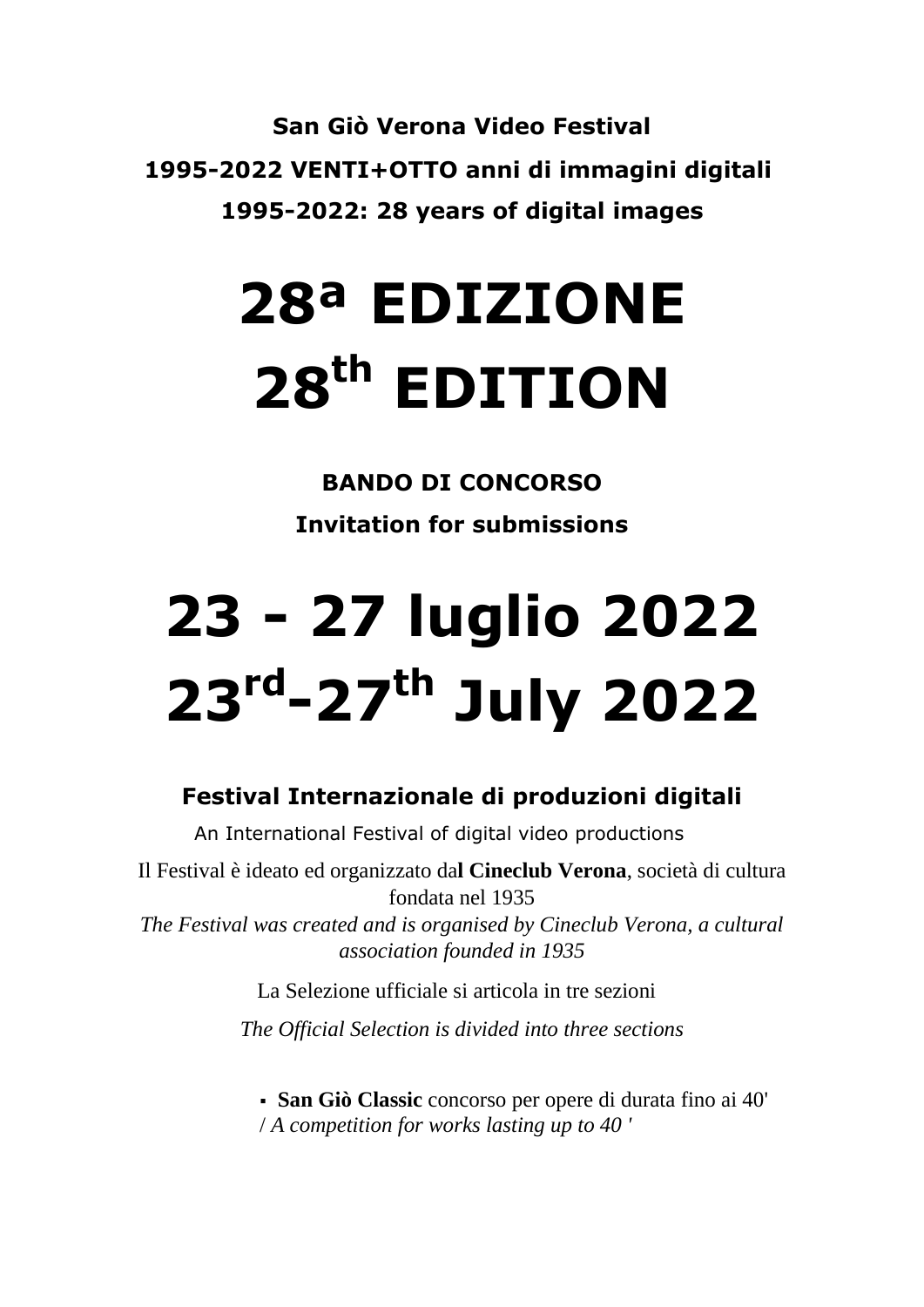**San Giò Verona Video Festival 1995-2022 VENTI+OTTO anni di immagini digitali 1995-2022: 28 years of digital images**

# **28ª EDIZIONE 28th EDITION**

**BANDO DI CONCORSO Invitation for submissions**

# **23 - 27 luglio 2022 23rd -27th July 2022**

### **Festival Internazionale di produzioni digitali**

An International Festival of digital video productions

Il Festival è ideato ed organizzato da**l Cineclub Verona**, società di cultura fondata nel 1935

*The Festival was created and is organised by Cineclub Verona, a cultural association founded in 1935*

La Selezione ufficiale si articola in tre sezioni

*The Official Selection is divided into three sections*

 **San Giò Classic** concorso per opere di durata fino ai 40' / *A competition for works lasting up to 40 '*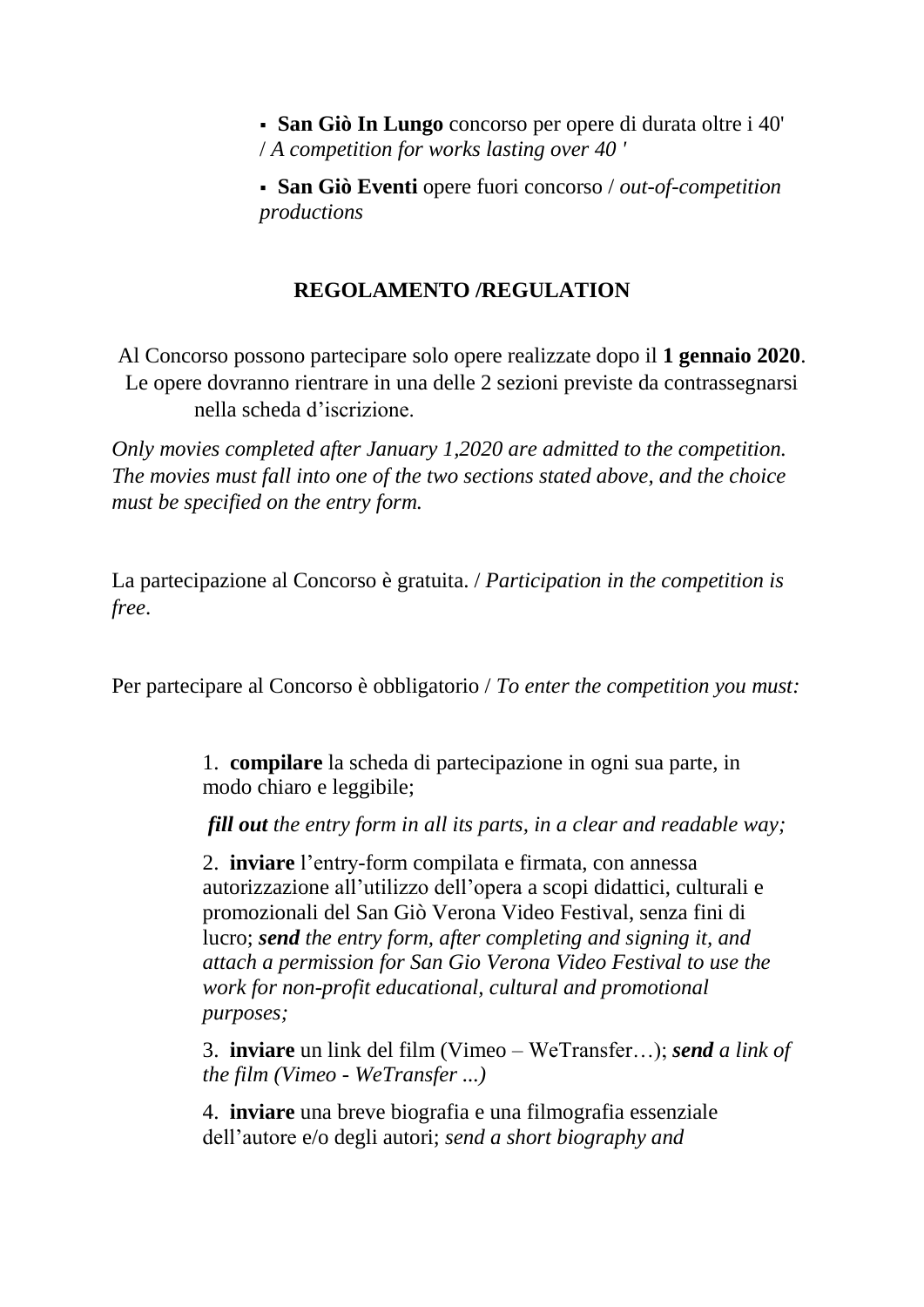**San Giò In Lungo** concorso per opere di durata oltre i 40' / *A competition for works lasting over 40 '*

 **San Giò Eventi** opere fuori concorso / *out-of-competition productions*

#### **REGOLAMENTO /REGULATION**

Al Concorso possono partecipare solo opere realizzate dopo il **1 gennaio 2020**. Le opere dovranno rientrare in una delle 2 sezioni previste da contrassegnarsi nella scheda d'iscrizione.

*Only movies completed after January 1,2020 are admitted to the competition. The movies must fall into one of the two sections stated above, and the choice must be specified on the entry form.*

La partecipazione al Concorso è gratuita. / *Participation in the competition is free*.

Per partecipare al Concorso è obbligatorio / *To enter the competition you must:*

1. **compilare** la scheda di partecipazione in ogni sua parte, in modo chiaro e leggibile;

*fill out the entry form in all its parts, in a clear and readable way;*

2. **inviare** l'entry-form compilata e firmata, con annessa autorizzazione all'utilizzo dell'opera a scopi didattici, culturali e promozionali del San Giò Verona Video Festival, senza fini di lucro; *send the entry form, after completing and signing it, and attach a permission for San Gio Verona Video Festival to use the work for non-profit educational, cultural and promotional purposes;*

3. **inviare** un link del film (Vimeo – WeTransfer…); *send a link of the film (Vimeo - WeTransfer ...)*

4. **inviare** una breve biografia e una filmografia essenziale dell'autore e/o degli autori; *send a short biography and*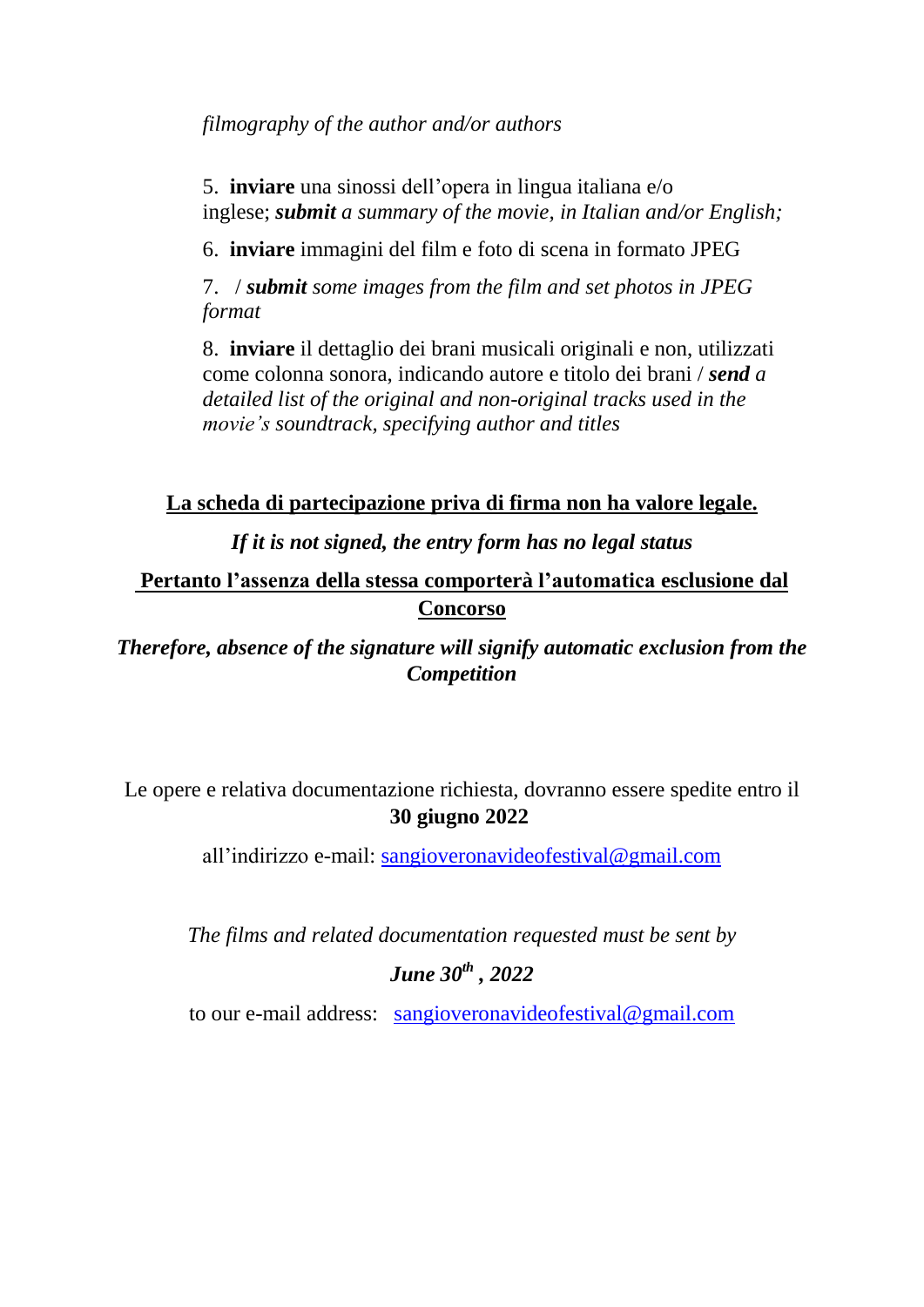*filmography of the author and/or authors* 

5. **inviare** una sinossi dell'opera in lingua italiana e/o inglese; *submit a summary of the movie, in Italian and/or English;*

6. **inviare** immagini del film e foto di scena in formato JPEG

7. / *submit some images from the film and set photos in JPEG format*

8. **inviare** il dettaglio dei brani musicali originali e non, utilizzati come colonna sonora, indicando autore e titolo dei brani / *send a detailed list of the original and non-original tracks used in the movie's soundtrack, specifying author and titles*

**La scheda di partecipazione priva di firma non ha valore legale.**

*If it is not signed, the entry form has no legal status*

**Pertanto l'assenza della stessa comporterà l'automatica esclusione dal Concorso**

*Therefore, absence of the signature will signify automatic exclusion from the Competition*

Le opere e relativa documentazione richiesta, dovranno essere spedite entro il **30 giugno 2022**

all'indirizzo e-mail: [sangioveronavideofestival@gmail.com](mailto:sangioveronavideofestival@gmail.com)

*The films and related documentation requested must be sent by*

### *June 30th , 2022*

to our e-mail address: [sangioveronavideofestival@gmail.com](mailto:sangioveronavideofestival@gmail.com)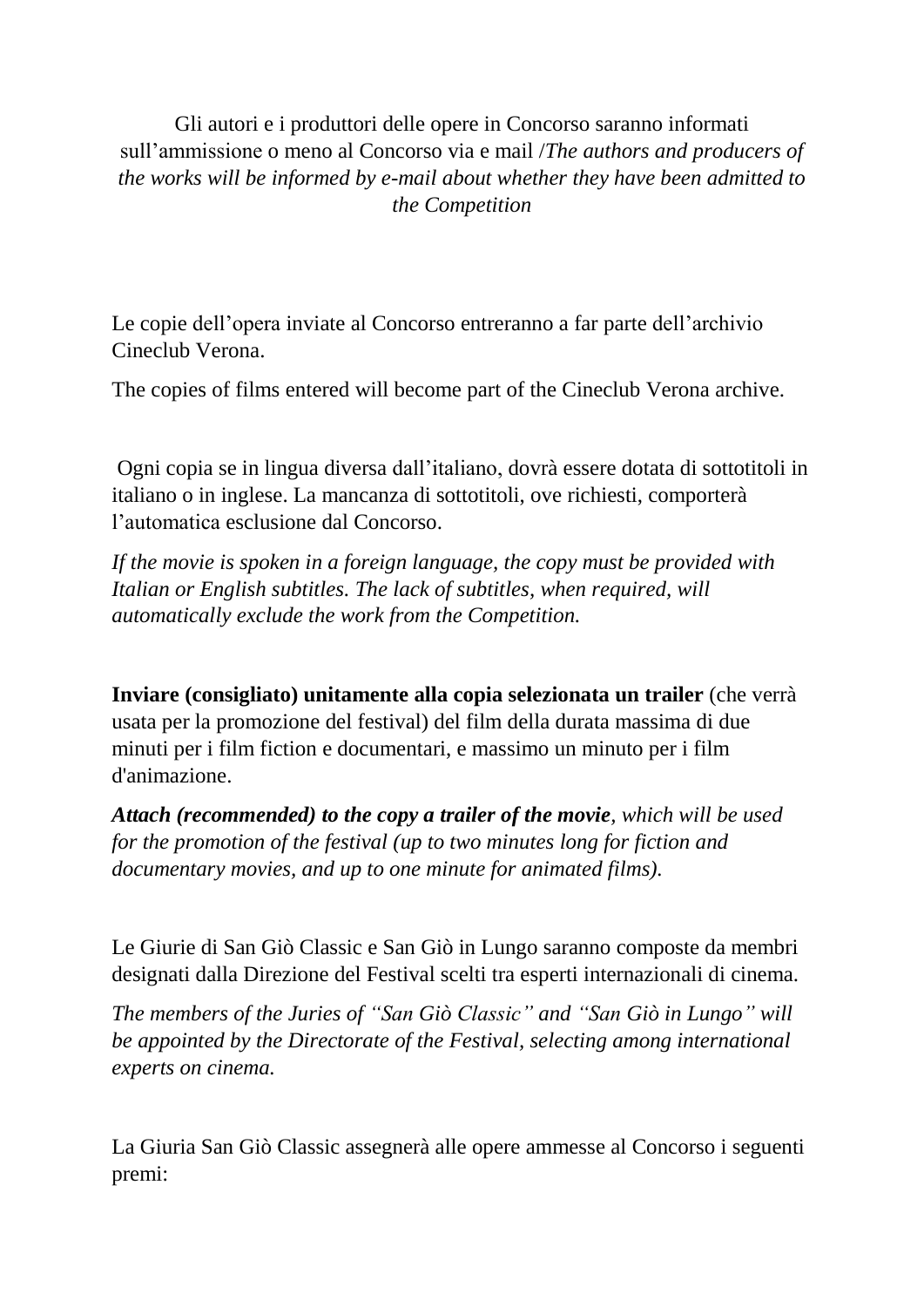Gli autori e i produttori delle opere in Concorso saranno informati sull'ammissione o meno al Concorso via e mail /*The authors and producers of the works will be informed by e-mail about whether they have been admitted to the Competition*

Le copie dell'opera inviate al Concorso entreranno a far parte dell'archivio Cineclub Verona.

The copies of films entered will become part of the Cineclub Verona archive.

Ogni copia se in lingua diversa dall'italiano, dovrà essere dotata di sottotitoli in italiano o in inglese. La mancanza di sottotitoli, ove richiesti, comporterà l'automatica esclusione dal Concorso.

*If the movie is spoken in a foreign language, the copy must be provided with Italian or English subtitles. The lack of subtitles, when required, will automatically exclude the work from the Competition.*

**Inviare (consigliato) unitamente alla copia selezionata un trailer** (che verrà usata per la promozione del festival) del film della durata massima di due minuti per i film fiction e documentari, e massimo un minuto per i film d'animazione.

*Attach (recommended) to the copy a trailer of the movie, which will be used for the promotion of the festival (up to two minutes long for fiction and documentary movies, and up to one minute for animated films).*

Le Giurie di San Giò Classic e San Giò in Lungo saranno composte da membri designati dalla Direzione del Festival scelti tra esperti internazionali di cinema.

*The members of the Juries of "San Giò Classic" and "San Giò in Lungo" will be appointed by the Directorate of the Festival, selecting among international experts on cinema.*

La Giuria San Giò Classic assegnerà alle opere ammesse al Concorso i seguenti premi: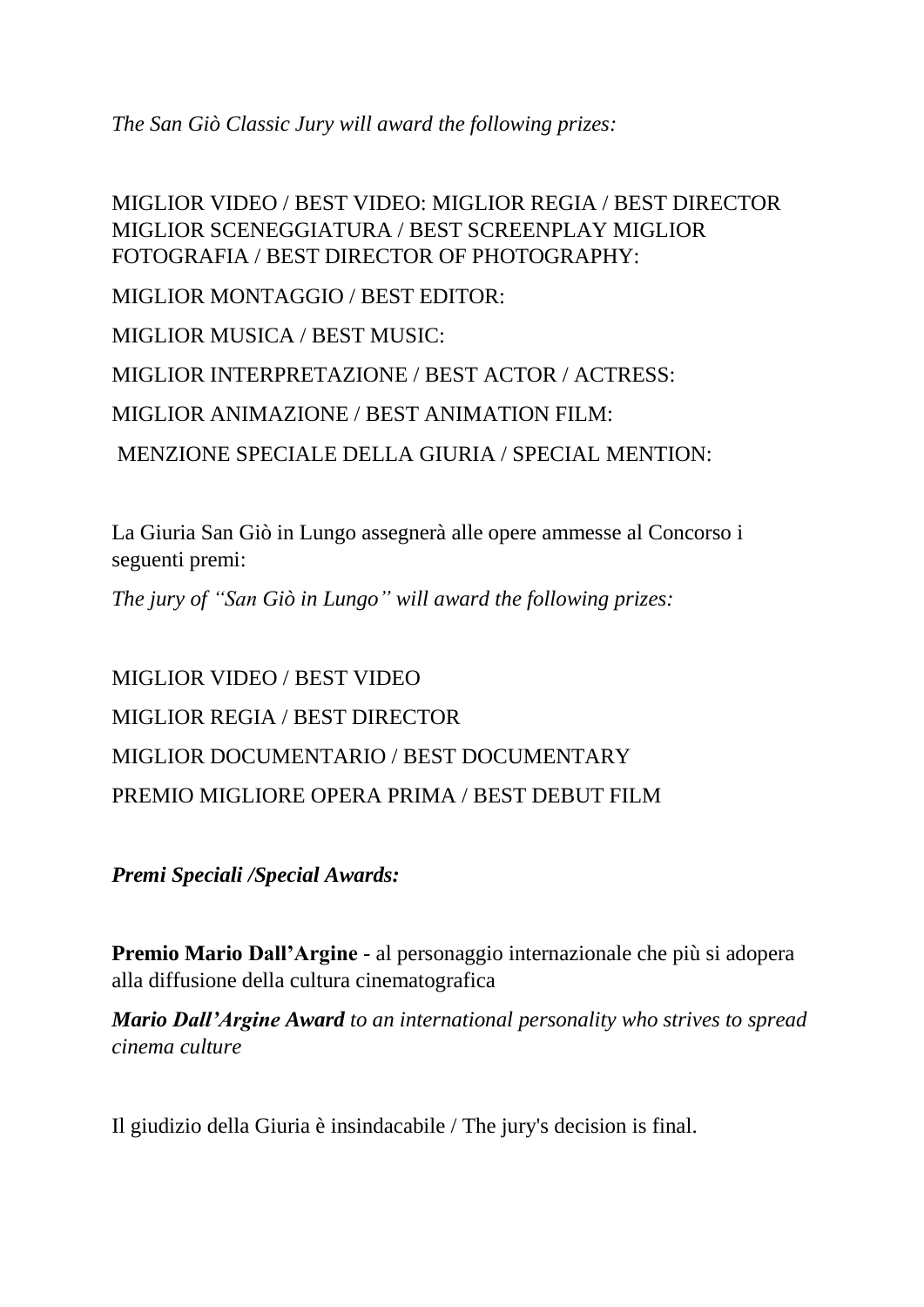*The San Giò Classic Jury will award the following prizes:*

MIGLIOR VIDEO / BEST VIDEO: MIGLIOR REGIA / BEST DIRECTOR MIGLIOR SCENEGGIATURA / BEST SCREENPLAY MIGLIOR FOTOGRAFIA / BEST DIRECTOR OF PHOTOGRAPHY: MIGLIOR MONTAGGIO / BEST EDITOR: MIGLIOR MUSICA / BEST MUSIC: MIGLIOR INTERPRETAZIONE / BEST ACTOR / ACTRESS: MIGLIOR ANIMAZIONE / BEST ANIMATION FILM: MENZIONE SPECIALE DELLA GIURIA / SPECIAL MENTION:

La Giuria San Giò in Lungo assegnerà alle opere ammesse al Concorso i seguenti premi:

*The jury of "San Giò in Lungo" will award the following prizes:*

MIGLIOR VIDEO / BEST VIDEO MIGLIOR REGIA / BEST DIRECTOR MIGLIOR DOCUMENTARIO / BEST DOCUMENTARY PREMIO MIGLIORE OPERA PRIMA / BEST DEBUT FILM

*Premi Speciali /Special Awards:*

**Premio Mario Dall'Argine** - al personaggio internazionale che più si adopera alla diffusione della cultura cinematografica

*Mario Dall'Argine Award to an international personality who strives to spread cinema culture*

Il giudizio della Giuria è insindacabile / The jury's decision is final.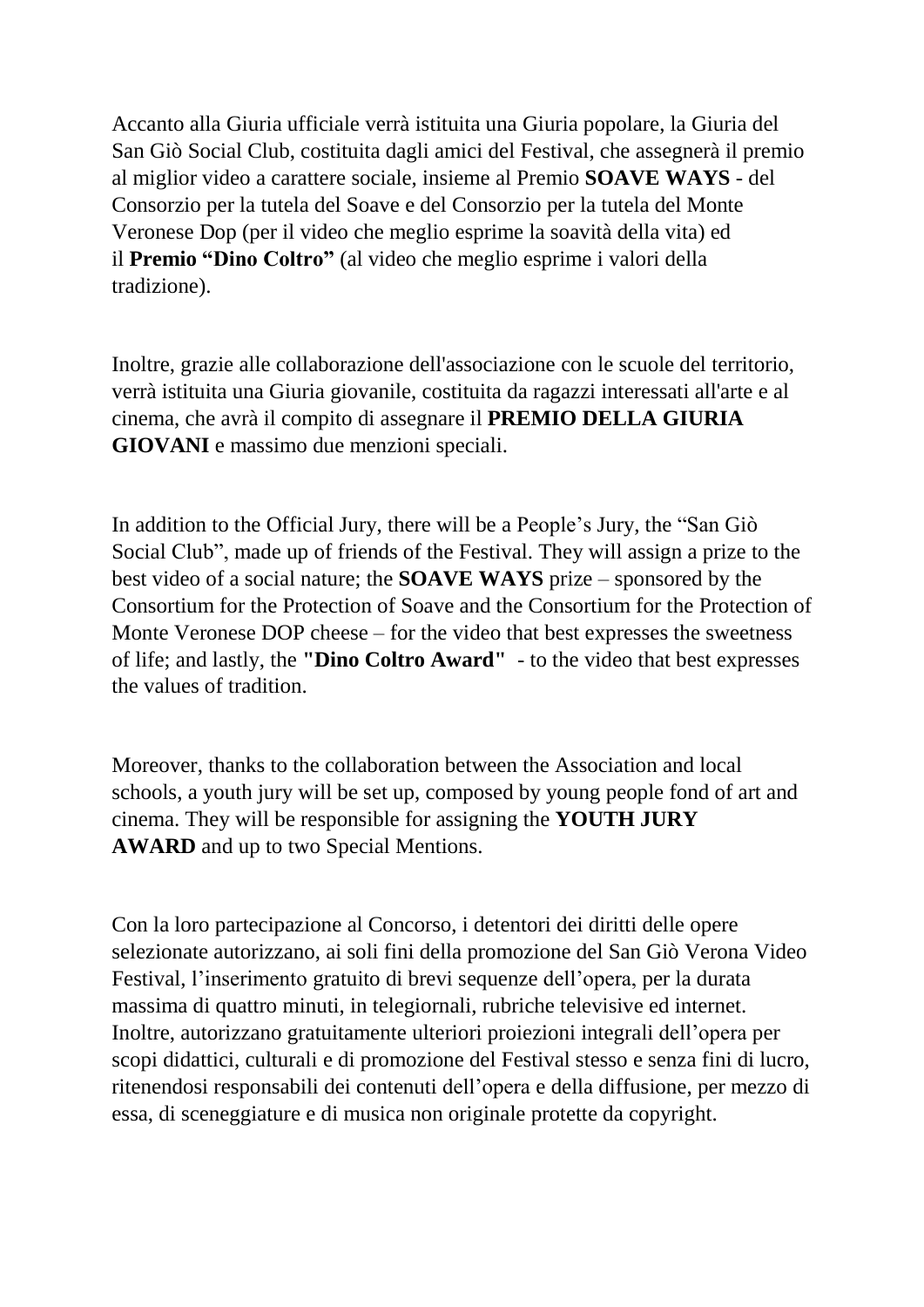Accanto alla Giuria ufficiale verrà istituita una Giuria popolare, la Giuria del San Giò Social Club, costituita dagli amici del Festival, che assegnerà il premio al miglior video a carattere sociale, insieme al Premio **SOAVE WAYS** - del Consorzio per la tutela del Soave e del Consorzio per la tutela del Monte Veronese Dop (per il video che meglio esprime la soavità della vita) ed il **Premio "Dino Coltro"** (al video che meglio esprime i valori della tradizione).

Inoltre, grazie alle collaborazione dell'associazione con le scuole del territorio, verrà istituita una Giuria giovanile, costituita da ragazzi interessati all'arte e al cinema, che avrà il compito di assegnare il **PREMIO DELLA GIURIA GIOVANI** e massimo due menzioni speciali.

In addition to the Official Jury, there will be a People's Jury, the "San Giò Social Club", made up of friends of the Festival. They will assign a prize to the best video of a social nature; the **SOAVE WAYS** prize – sponsored by the Consortium for the Protection of Soave and the Consortium for the Protection of Monte Veronese DOP cheese – for the video that best expresses the sweetness of life; and lastly, the **"Dino Coltro Award"** - to the video that best expresses the values of tradition.

Moreover, thanks to the collaboration between the Association and local schools, a youth jury will be set up, composed by young people fond of art and cinema. They will be responsible for assigning the **YOUTH JURY AWARD** and up to two Special Mentions.

Con la loro partecipazione al Concorso, i detentori dei diritti delle opere selezionate autorizzano, ai soli fini della promozione del San Giò Verona Video Festival, l'inserimento gratuito di brevi sequenze dell'opera, per la durata massima di quattro minuti, in telegiornali, rubriche televisive ed internet. Inoltre, autorizzano gratuitamente ulteriori proiezioni integrali dell'opera per scopi didattici, culturali e di promozione del Festival stesso e senza fini di lucro, ritenendosi responsabili dei contenuti dell'opera e della diffusione, per mezzo di essa, di sceneggiature e di musica non originale protette da copyright.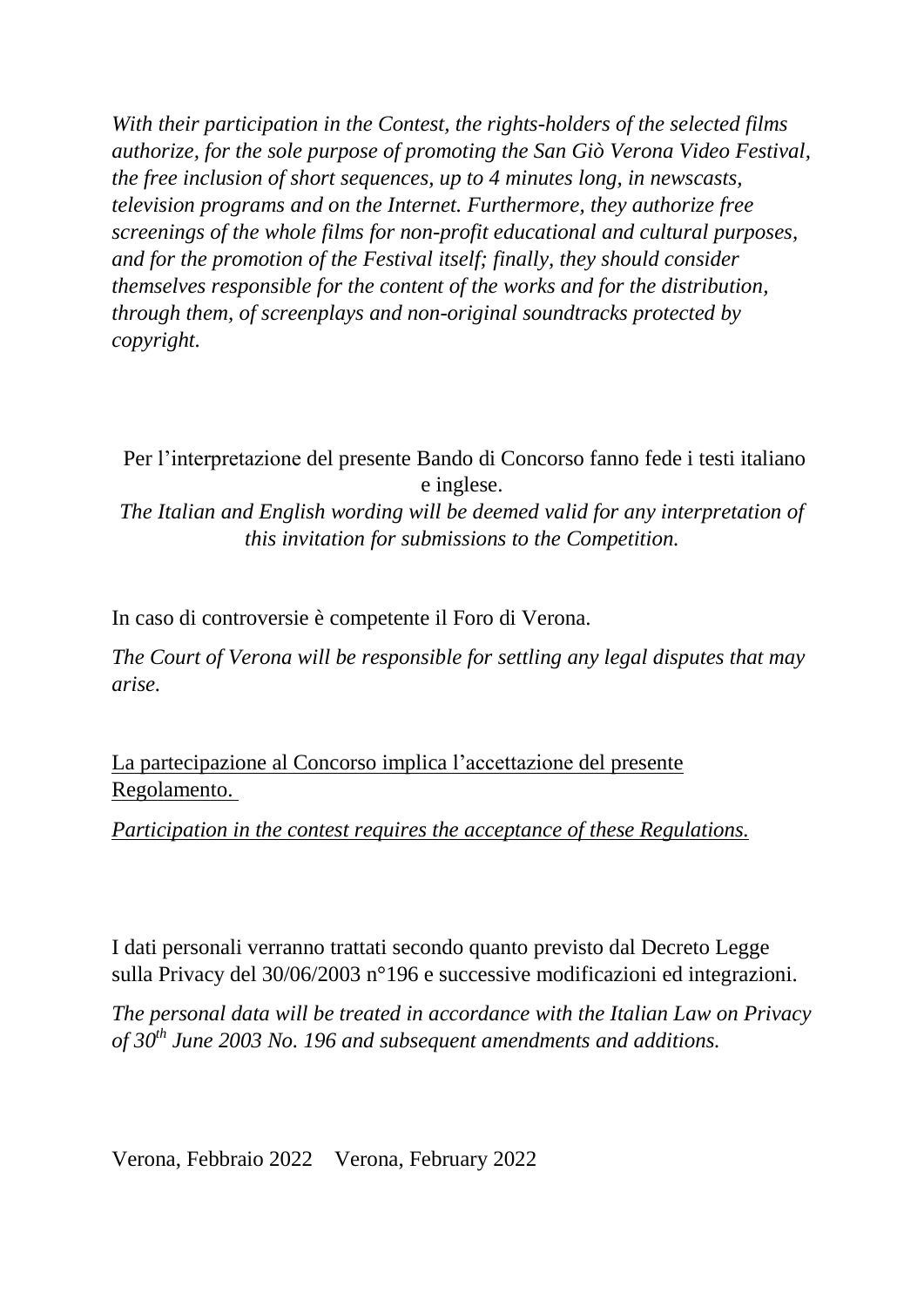*With their participation in the Contest, the rights-holders of the selected films authorize, for the sole purpose of promoting the San Giò Verona Video Festival, the free inclusion of short sequences, up to 4 minutes long, in newscasts, television programs and on the Internet. Furthermore, they authorize free screenings of the whole films for non-profit educational and cultural purposes, and for the promotion of the Festival itself; finally, they should consider themselves responsible for the content of the works and for the distribution, through them, of screenplays and non-original soundtracks protected by copyright.*

Per l'interpretazione del presente Bando di Concorso fanno fede i testi italiano e inglese.

*The Italian and English wording will be deemed valid for any interpretation of this invitation for submissions to the Competition.*

In caso di controversie è competente il Foro di Verona.

*The Court of Verona will be responsible for settling any legal disputes that may arise.*

La partecipazione al Concorso implica l'accettazione del presente Regolamento.

*Participation in the contest requires the acceptance of these Regulations.*

I dati personali verranno trattati secondo quanto previsto dal Decreto Legge sulla Privacy del 30/06/2003 n°196 e successive modificazioni ed integrazioni.

*The personal data will be treated in accordance with the Italian Law on Privacy of 30th June 2003 No. 196 and subsequent amendments and additions.*

Verona, Febbraio 2022 Verona, February 2022